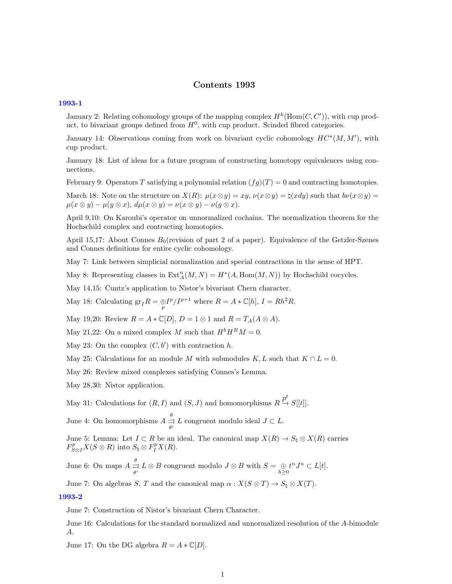# Contents 1993

#### [1993-1](http://www2.maths.ox.ac.uk/cmi/library/Quillen/Working_papers/quillen%201993/1993-1.pdf)

January 2: Relating cohomology groups of the mapping complex  $H^k(\text{Hom}(C, C'))$ , with cup product, to bivariant groups defined from  $H^0$ , with cup product. Scinded fibred categories.

January 14: Observations coming from work on bivariant cyclic cohomology  $HC^*(M, M')$ , with cup product.

January 18: List of ideas for a future program of constructing homotopy equivalences using connections.

February 9: Operators T satisfying a polynomial relation  $(fg)(T) = 0$  and contracting homotopies.

March 18: Note on the structure on  $X(R)$ :  $\mu(x\otimes y) = xy$ ,  $\nu(x\otimes y) = \natural(x\,dy)$  such that  $b\nu(x\otimes y) = b(x\otimes y)$  $\mu(x \otimes y) - \mu(y \otimes x), d\mu(x \otimes y) = \nu(x \otimes y) - \nu(y \otimes x).$ 

April 9,10: On Karoubi's operator on unnormalized cochains. The normalization theorem for the Hochschild complex and contracting homotopies.

April 15,17: About Connes  $B_0$ (revision of part 2 of a paper). Equivalence of the Getzler-Szenes and Connes definitions for entire cyclic cohomology.

May 7: Link between simplicial normalization and special contractions in the sense of HPT.

May 8: Representing classes in  $\text{Ext}_{A}^{n}(M, N) = H^{*}(A, \text{Hom}(M, N))$  by Hochschild cocycles.

May 14,15: Cuntz's application to Nistor's bivariant Chern character.

May 18: Calculating  $gr_I R = \frac{\oplus I^p}{I^{p+1}}$  where  $R = A * \mathbb{C}[h]$ ,  $I = Rh^2 R$ .

May 19,20: Review  $R = A * \mathbb{C}[D], D = 1 \otimes 1$  and  $R = T_A(A \otimes A)$ .

May 21,22: On a mixed complex M such that  $H^b H^B M = 0$ .

May 23: On the complex  $(C, b')$  with contraction h.

May 25: Calculations for an module M with submodules  $K, L$  such that  $K \cap L = 0$ .

May 26: Review mixed complexes satisfying Connes's Lemma.

May 28,30: Nistor application.

May 31: Calculations for  $(R, I)$  and  $(S, J)$  and homomorphisms  $R \stackrel{p^t}{\to} S[[t]]$ .

June 4: On homomorphisms  $A \stackrel{\theta}{\rightrightarrows}$  $\Rightarrow L$  congruent modulo ideal  $J \subset L$ .

June 5: Lemma: Let  $I \subset R$  be an ideal. The canonical map  $X(R) \to S_{\natural} \otimes X(R)$  carries  $F_{S\otimes I}^p X(S\otimes R)$  into  $S_{\natural} \otimes F_I^p X(R)$ .

June 6: On maps  $A \stackrel{\theta}{\rightrightarrows}$  $\Rightarrow L \otimes B$  congruent modulo  $J \otimes B$  with  $S = \bigoplus_{h \geq 0} t^n J^n \subset L[t]$ .

June 7: On algebras S, T and the canonical map  $\alpha : X(S \otimes T) \to S_{\natural} \otimes X(T)$ .

#### [1993-2](http://www2.maths.ox.ac.uk/cmi/library/Quillen/Working_papers/quillen%201993/1993-2.pdf)

June 7: Construction of Nistor's bivariant Chern Character.

June 16: Calculations for the standard normalized and unnormalized resolution of the A-bimodule A.

June 17: On the DG algebra  $R = A * \mathbb{C}[D]$ .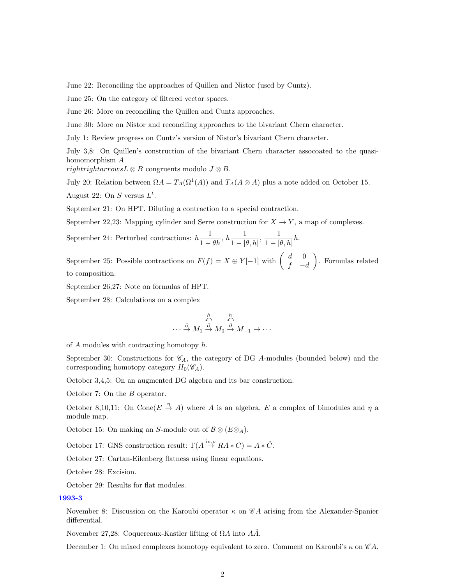June 22: Reconciling the approaches of Quillen and Nistor (used by Cuntz).

June 25: On the category of filtered vector spaces.

June 26: More on reconciling the Quillen and Cuntz approaches.

June 30: More on Nistor and reconciling approaches to the bivariant Chern character.

July 1: Review progress on Cuntz's version of Nistor's bivariant Chern character.

July 3,8: On Quillen's construction of the bivariant Chern character assocoated to the quasihomomorphism A

rightrightarrowsL  $\otimes$  B congruents modulo  $J \otimes B$ .

July 20: Relation between  $\Omega A = T_A(\Omega^1(A))$  and  $T_A(A \otimes A)$  plus a note added on October 15.

August 22: On S versus  $L^t$ .

September 21: On HPT. Diluting a contraction to a special contraction.

September 22,23: Mapping cylinder and Serre construction for  $X \to Y$ , a map of complexes.

September 24: Perturbed contractions:  $h\frac{1}{1-\theta h}$ ,  $h\frac{1}{1-|h|}$  $\frac{1}{1 - [\theta, h]}, \frac{1}{1 - [h]}$  $\frac{1}{1-[\theta,h]}h.$ 

September 25: Possible contractions on  $F(f) = X \oplus Y[-1]$  with  $\begin{pmatrix} d & 0 \\ f & 0 \end{pmatrix}$  $f - d$  . Formulas related to composition.

September 26,27: Note on formulas of HPT.

September 28: Calculations on a complex

$$
\cdots \xrightarrow{\hbar} M_1 \xrightarrow{\hbar} M_0 \xrightarrow{\hbar} M_{-1} \rightarrow \cdots
$$

of  $A$  modules with contracting homotopy  $h$ .

September 30: Constructions for  $\mathcal{C}_A$ , the category of DG A-modules (bounded below) and the corresponding homotopy category  $H_0(\mathscr{C}_A)$ .

October 3,4,5: On an augmented DG algebra and its bar construction.

October 7: On the B operator.

October 8,10,11: On Cone( $E \stackrel{\eta}{\to} A$ ) where A is an algebra, E a complex of bimodules and  $\eta$  a module map.

October 15: On making an S-module out of  $\mathcal{B} \otimes (E \otimes_A)$ .

October 17: GNS construction result:  $\Gamma(A \overset{\text{in}_{\mathcal{P}}}{\rightarrow} RA * C) = A * \tilde{C}$ .

October 27: Cartan-Eilenberg flatness using linear equations.

October 28: Excision.

October 29: Results for flat modules.

#### [1993-3](http://www2.maths.ox.ac.uk/cmi/library/Quillen/Working_papers/quillen%201993/1993-3.pdf)

November 8: Discussion on the Karoubi operator  $\kappa$  on  $\mathscr{C}A$  arising from the Alexander-Spanier differential.

November 27,28: Coquereaux-Kastler lifting of  $\Omega A$  into  $\overline{A}\tilde{A}$ .

December 1: On mixed complexes homotopy equivalent to zero. Comment on Karoubi's  $\kappa$  on  $\mathscr{C}A$ .